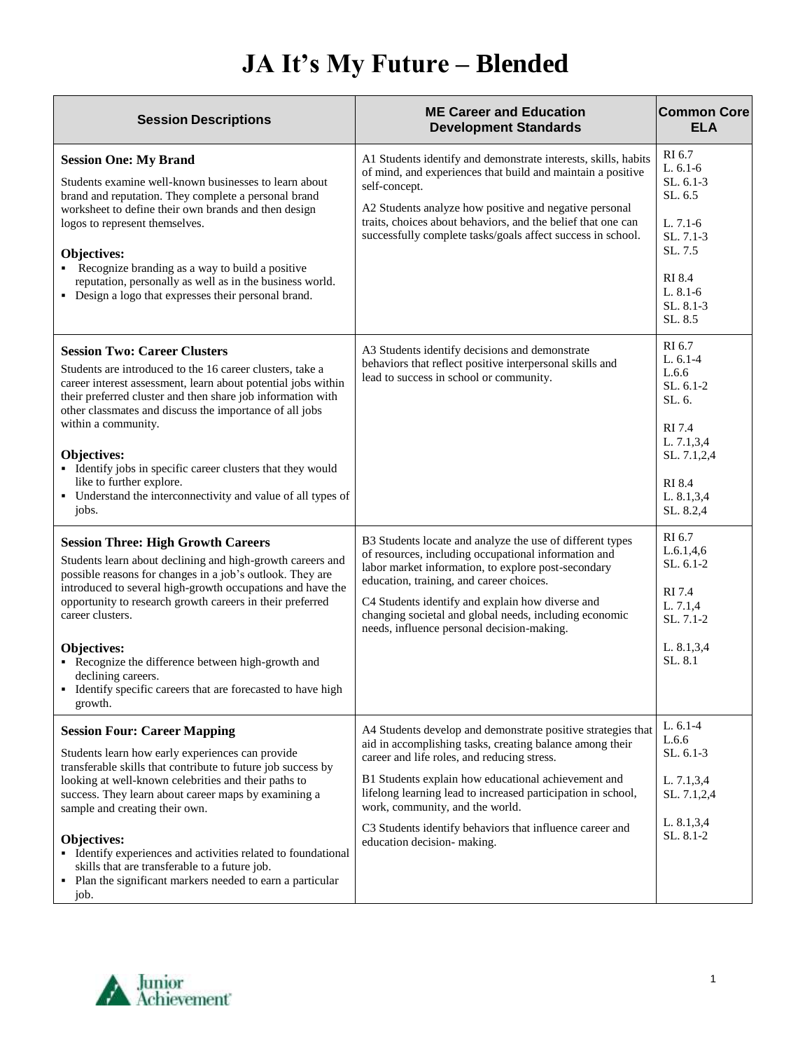## **JA It's My Future – Blended**

| <b>Session Descriptions</b>                                                                                                                                                                                                                                                                                                                                                                                                                                                                                      | <b>ME Career and Education</b><br><b>Development Standards</b>                                                                                                                                                                                                                                                                                                                                                               | <b>Common Core</b><br><b>ELA</b>                                                                                                         |
|------------------------------------------------------------------------------------------------------------------------------------------------------------------------------------------------------------------------------------------------------------------------------------------------------------------------------------------------------------------------------------------------------------------------------------------------------------------------------------------------------------------|------------------------------------------------------------------------------------------------------------------------------------------------------------------------------------------------------------------------------------------------------------------------------------------------------------------------------------------------------------------------------------------------------------------------------|------------------------------------------------------------------------------------------------------------------------------------------|
| <b>Session One: My Brand</b><br>Students examine well-known businesses to learn about<br>brand and reputation. They complete a personal brand<br>worksheet to define their own brands and then design<br>logos to represent themselves.<br>Objectives:<br>• Recognize branding as a way to build a positive<br>reputation, personally as well as in the business world.<br>• Design a logo that expresses their personal brand.                                                                                  | A1 Students identify and demonstrate interests, skills, habits<br>of mind, and experiences that build and maintain a positive<br>self-concept.<br>A2 Students analyze how positive and negative personal<br>traits, choices about behaviors, and the belief that one can<br>successfully complete tasks/goals affect success in school.                                                                                      | RI 6.7<br>$L. 6.1-6$<br>$SL. 6.1-3$<br>SL. 6.5<br>L. 7.1-6<br>SL, 7.1-3<br>SL, 7.5<br>RI 8.4<br>L. 8.1-6<br>SL. 8.1-3<br>SL. 8.5         |
| <b>Session Two: Career Clusters</b><br>Students are introduced to the 16 career clusters, take a<br>career interest assessment, learn about potential jobs within<br>their preferred cluster and then share job information with<br>other classmates and discuss the importance of all jobs<br>within a community.<br>Objectives:<br>• Identify jobs in specific career clusters that they would<br>like to further explore.<br>• Understand the interconnectivity and value of all types of<br>jobs.            | A3 Students identify decisions and demonstrate<br>behaviors that reflect positive interpersonal skills and<br>lead to success in school or community.                                                                                                                                                                                                                                                                        | RI 6.7<br>$L. 6.1-4$<br>L.6.6<br>$SL.6.1-2$<br>SL. 6.<br>RI 7.4<br>L. 7.1,3,4<br>SL. 7.1,2,4<br><b>RI 8.4</b><br>L. 8.1,3,4<br>SL. 8.2,4 |
| <b>Session Three: High Growth Careers</b><br>Students learn about declining and high-growth careers and<br>possible reasons for changes in a job's outlook. They are<br>introduced to several high-growth occupations and have the<br>opportunity to research growth careers in their preferred<br>career clusters.<br><b>Objectives:</b><br>• Recognize the difference between high-growth and<br>declining careers.<br>• Identify specific careers that are forecasted to have high<br>growth.                 | B3 Students locate and analyze the use of different types<br>of resources, including occupational information and<br>labor market information, to explore post-secondary<br>education, training, and career choices.<br>C4 Students identify and explain how diverse and<br>changing societal and global needs, including economic<br>needs, influence personal decision-making.                                             | RI 6.7<br>L.6.1,4,6<br>SL. 6.1-2<br>RI 7.4<br>L. 7.1,4<br>SL, 7.1-2<br>L. 8.1,3,4<br>SL. 8.1                                             |
| <b>Session Four: Career Mapping</b><br>Students learn how early experiences can provide<br>transferable skills that contribute to future job success by<br>looking at well-known celebrities and their paths to<br>success. They learn about career maps by examining a<br>sample and creating their own.<br>Objectives:<br>• Identify experiences and activities related to foundational<br>skills that are transferable to a future job.<br>• Plan the significant markers needed to earn a particular<br>job. | A4 Students develop and demonstrate positive strategies that<br>aid in accomplishing tasks, creating balance among their<br>career and life roles, and reducing stress.<br>B1 Students explain how educational achievement and<br>lifelong learning lead to increased participation in school,<br>work, community, and the world.<br>C3 Students identify behaviors that influence career and<br>education decision- making. | L. $6.1-4$<br>L.6.6<br>SL. 6.1-3<br>L. 7.1,3,4<br>SL. 7.1,2,4<br>L. 8.1,3,4<br>SL. 8.1-2                                                 |